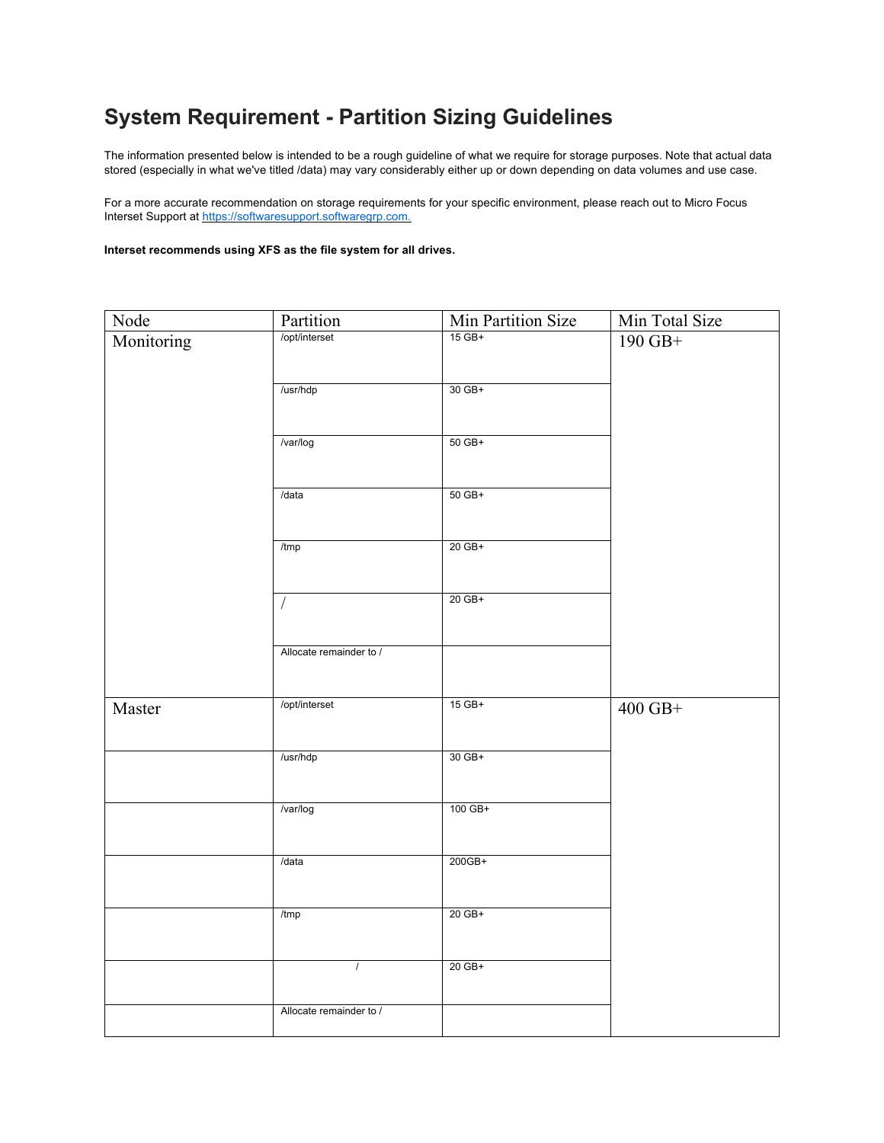## **System Requirement - Partition Sizing Guidelines**

The information presented below is intended to be a rough guideline of what we require for storage purposes. Note that actual data stored (especially in what we've titled /data) may vary considerably either up or down depending on data volumes and use case.

For a more accurate recommendation on storage requirements for your specific environment, please reach out to Micro Focus Interset Support at https://softwaresupport.softwaregrp.com.

**Interset recommends using XFS as the file system for all drives.** 

| Node       | Partition               | Min Partition Size | Min Total Size |
|------------|-------------------------|--------------------|----------------|
| Monitoring | /opt/interset           | $15$ GB+           | 190 GB+        |
|            | /usr/hdp                | 30 GB+             |                |
|            | /var/log                | 50 GB+             |                |
|            | /data                   | 50 GB+             |                |
|            | /tmp                    | 20 GB+             |                |
|            | $\sqrt{ }$              | 20 GB+             |                |
|            | Allocate remainder to / |                    |                |
| Master     | /opt/interset           | $15$ GB+           | $400$ GB+      |
|            | /usr/hdp                | 30 GB+             |                |
|            | /var/log                | 100 GB+            |                |
|            | /data                   | 200GB+             |                |
|            | /tmp                    | 20 GB+             |                |
|            | $\overline{1}$          | 20 GB+             |                |
|            | Allocate remainder to / |                    |                |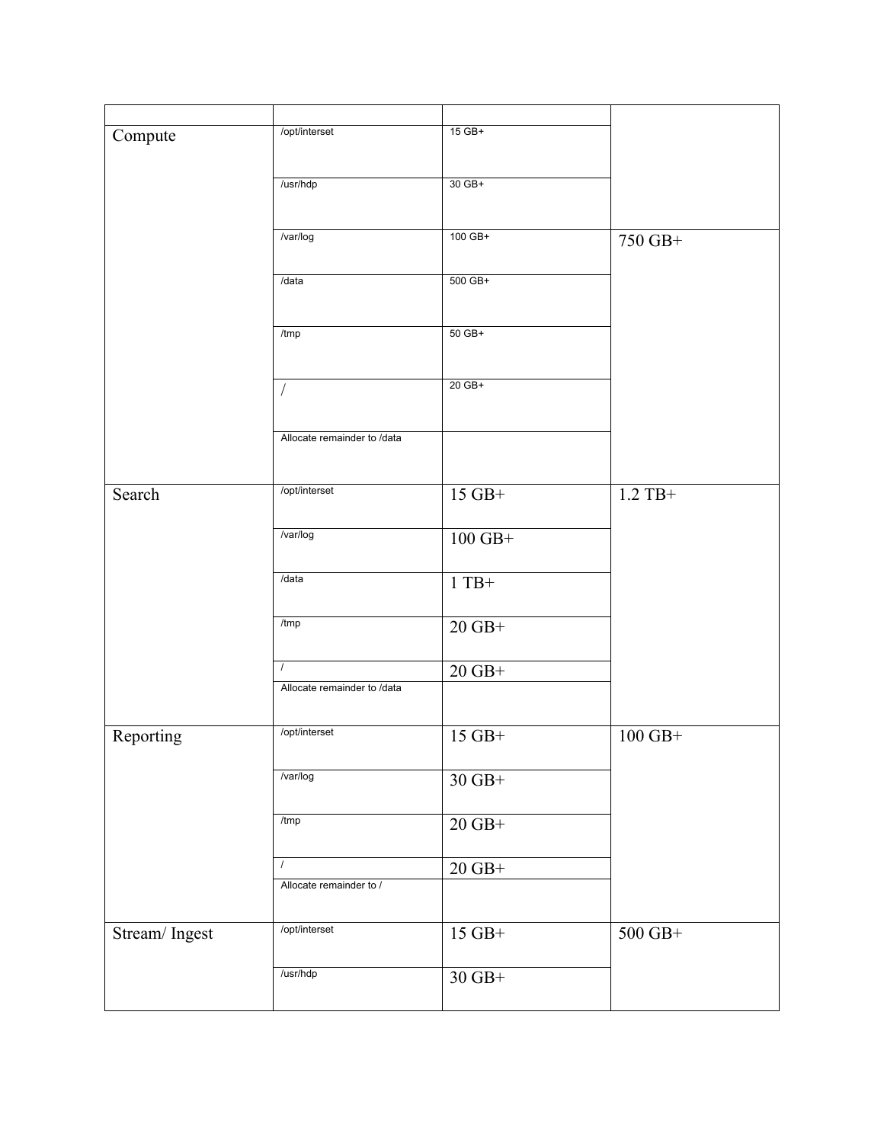| Compute       | /opt/interset                           | $15$ GB+                  |                  |
|---------------|-----------------------------------------|---------------------------|------------------|
|               |                                         |                           |                  |
|               | /usr/hdp                                | 30 GB+                    |                  |
|               |                                         |                           |                  |
|               | /var/log                                | 100 GB+                   | 750 GB+          |
|               |                                         |                           |                  |
|               | /data                                   | 500 GB+                   |                  |
|               |                                         |                           |                  |
|               | /tmp                                    | $50$ GB+                  |                  |
|               |                                         |                           |                  |
|               |                                         |                           |                  |
|               | $\sqrt{2}$                              | 20 GB+                    |                  |
|               |                                         |                           |                  |
|               | Allocate remainder to /data             |                           |                  |
|               |                                         |                           |                  |
| Search        | /opt/interset                           | $15$ GB+                  | $1.2$ TB+        |
|               |                                         |                           |                  |
|               | /var/log                                | $100$ GB+ $\,$            |                  |
|               |                                         |                           |                  |
|               | /data                                   | $1$ TB+ $\,$              |                  |
|               |                                         |                           |                  |
|               | /tmp                                    | $20\text{ }\mathrm{GB}^+$ |                  |
|               |                                         |                           |                  |
|               | $\prime$<br>Allocate remainder to /data | $20\text{ }\mathrm{GB}^+$ |                  |
|               |                                         |                           |                  |
|               | /opt/interset                           |                           |                  |
| Reporting     |                                         | $15$ GB+                  | $100\;{\rm GB+}$ |
|               | /var/log                                | $30\text{ }\mathrm{GB}^+$ |                  |
|               |                                         |                           |                  |
|               | /tmp                                    | $20\text{ }\mathrm{GB}^+$ |                  |
|               |                                         |                           |                  |
|               |                                         | $20\text{ }\mathrm{GB}^+$ |                  |
|               | Allocate remainder to /                 |                           |                  |
|               |                                         |                           |                  |
| Stream/Ingest | /opt/interset                           | $15$ GB+                  | $500\;{\rm GB+}$ |
|               |                                         |                           |                  |
|               | /usr/hdp                                | $30\text{ }\mathrm{GB}^+$ |                  |
|               |                                         |                           |                  |